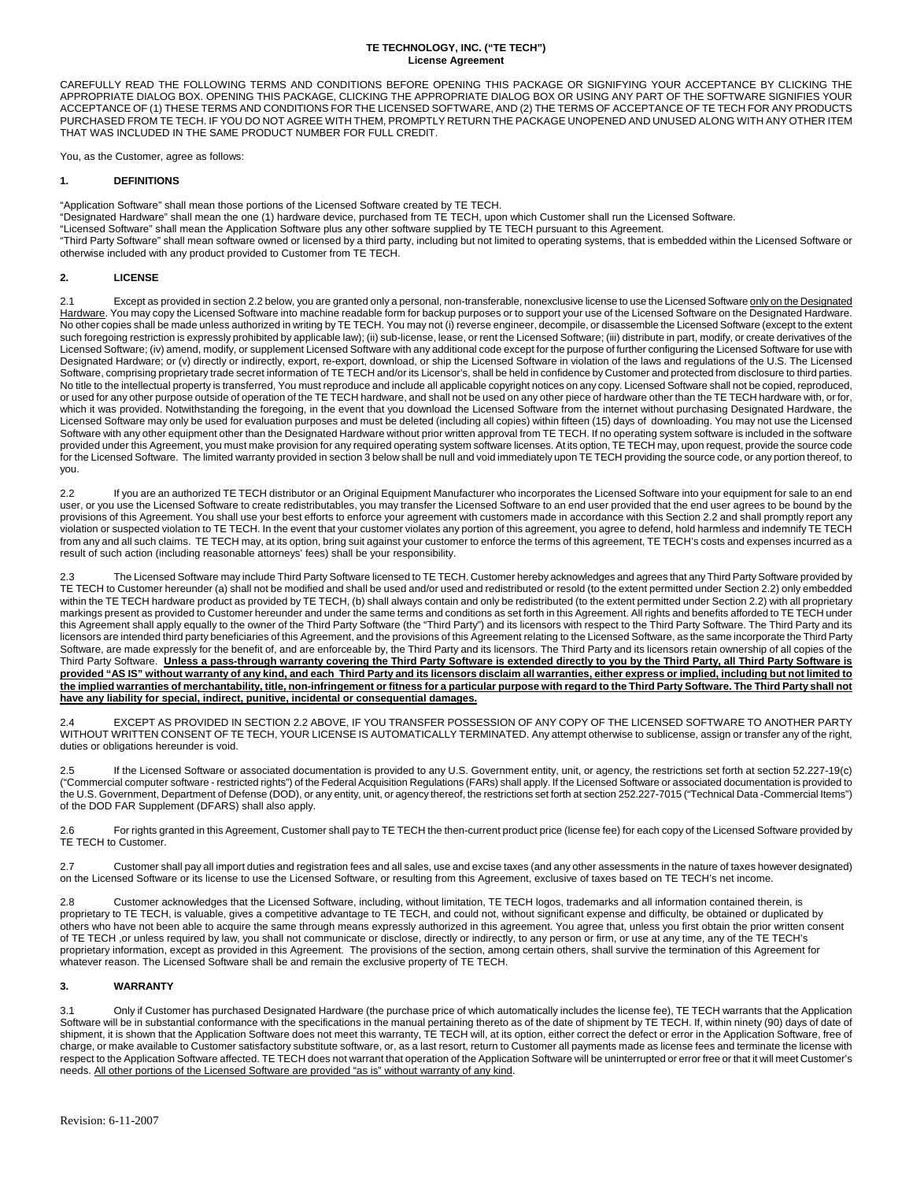### **TE TECHNOLOGY, INC. ("TE TECH") License Agreement**

CAREFULLY READ THE FOLLOWING TERMS AND CONDITIONS BEFORE OPENING THIS PACKAGE OR SIGNIFYING YOUR ACCEPTANCE BY CLICKING THE APPROPRIATE DIALOG BOX. OPENING THIS PACKAGE, CLICKING THE APPROPRIATE DIALOG BOX OR USING ANY PART OF THE SOFTWARE SIGNIFIES YOUR ACCEPTANCE OF (1) THESE TERMS AND CONDITIONS FOR THE LICENSED SOFTWARE, AND (2) THE TERMS OF ACCEPTANCE OF TE TECH FOR ANY PRODUCTS PURCHASED FROM TE TECH. IF YOU DO NOT AGREE WITH THEM, PROMPTLY RETURN THE PACKAGE UNOPENED AND UNUSED ALONG WITH ANY OTHER ITEM THAT WAS INCLUDED IN THE SAME PRODUCT NUMBER FOR FULL CREDIT.

You, as the Customer, agree as follows:

### **1. DEFINITIONS**

"Application Software" shall mean those portions of the Licensed Software created by TE TECH.

"Designated Hardware" shall mean the one (1) hardware device, purchased from TE TECH, upon which Customer shall run the Licensed Software.

"Licensed Software" shall mean the Application Software plus any other software supplied by TE TECH pursuant to this Agreement.

"Third Party Software" shall mean software owned or licensed by a third party, including but not limited to operating systems, that is embedded within the Licensed Software or otherwise included with any product provided to Customer from TE TECH.

# **2. LICENSE**

2.1 Except as provided in section 2.2 below, you are granted only a personal, non-transferable, nonexclusive license to use the Licensed Software only on the Designated Hardware. You may copy the Licensed Software into machine readable form for backup purposes or to support your use of the Licensed Software on the Designated Hardware. No other copies shall be made unless authorized in writing by TE TECH. You may not (i) reverse engineer, decompile, or disassemble the Licensed Software (except to the extent such foregoing restriction is expressly prohibited by applicable law); (ii) sub-license, lease, or rent the Licensed Software; (iii) distribute in part, modify, or create derivatives of the Licensed Software; (iv) amend, modify, or supplement Licensed Software with any additional code except for the purpose of further configuring the Licensed Software for use with Designated Hardware; or (v) directly or indirectly, export, re-export, download, or ship the Licensed Software in violation of the laws and regulations of the U.S. The Licensed Software, comprising proprietary trade secret information of TE TECH and/or its Licensor's, shall be held in confidence by Customer and protected from disclosure to third parties. No title to the intellectual property is transferred, You must reproduce and include all applicable copyright notices on any copy. Licensed Software shall not be copied, reproduced, or used for any other purpose outside of operation of the TE TECH hardware, and shall not be used on any other piece of hardware other than the TE TECH hardware with, or for, which it was provided. Notwithstanding the foregoing, in the event that you download the Licensed Software from the internet without purchasing Designated Hardware, the Licensed Software may only be used for evaluation purposes and must be deleted (including all copies) within fifteen (15) days of downloading. You may not use the Licensed Software with any other equipment other than the Designated Hardware without prior written approval from TE TECH. If no operating system software is included in the software provided under this Agreement, you must make provision for any required operating system software licenses. At its option, TE TECH may, upon request, provide the source code for the Licensed Software. The limited warranty provided in section 3 below shall be null and void immediately upon TE TECH providing the source code, or any portion thereof, to you.

2.2 If you are an authorized TE TECH distributor or an Original Equipment Manufacturer who incorporates the Licensed Software into your equipment for sale to an end user, or you use the Licensed Software to create redistributables, you may transfer the Licensed Software to an end user provided that the end user agrees to be bound by the provisions of this Agreement. You shall use your best efforts to enforce your agreement with customers made in accordance with this Section 2.2 and shall promptly report any violation or suspected violation to TE TECH. In the event that your customer violates any portion of this agreement, you agree to defend, hold harmless and indemnify TE TECH from any and all such claims. TE TECH may, at its option, bring suit against your customer to enforce the terms of this agreement, TE TECH's costs and expenses incurred as a result of such action (including reasonable attorneys' fees) shall be your responsibility.

2.3 The Licensed Software may include Third Party Software licensed to TE TECH. Customer hereby acknowledges and agrees that any Third Party Software provided by TE TECH to Customer hereunder (a) shall not be modified and shall be used and/or used and redistributed or resold (to the extent permitted under Section 2.2) only embedded within the TE TECH hardware product as provided by TE TECH, (b) shall always contain and only be redistributed (to the extent permitted under Section 2.2) with all proprietary markings present as provided to Customer hereunder and under the same terms and conditions as set forth in this Agreement. All rights and benefits afforded to TE TECH under this Agreement shall apply equally to the owner of the Third Party Software (the "Third Party") and its licensors with respect to the Third Party Software. The Third Party and its licensors are intended third party beneficiaries of this Agreement, and the provisions of this Agreement relating to the Licensed Software, as the same incorporate the Third Party Software, are made expressly for the benefit of, and are enforceable by, the Third Party and its licensors. The Third Party and its licensors retain ownership of all copies of the Third Party Software. **Unless a pass-through warranty covering the Third Party Software is extended directly to you by the Third Party, all Third Party Software is provided "AS IS" without warranty of any kind, and each Third Party and its licensors disclaim all warranties, either express or implied, including but not limited to the implied warranties of merchantability, title, non-infringement or fitness for a particular purpose with regard to the Third Party Software. The Third Party shall not have any liability for special, indirect, punitive, incidental or consequential damages.**

2.4 EXCEPT AS PROVIDED IN SECTION 2.2 ABOVE, IF YOU TRANSFER POSSESSION OF ANY COPY OF THE LICENSED SOFTWARE TO ANOTHER PARTY WITHOUT WRITTEN CONSENT OF TE TECH, YOUR LICENSE IS AUTOMATICALLY TERMINATED. Any attempt otherwise to sublicense, assign or transfer any of the right, duties or obligations hereunder is void.

2.5 If the Licensed Software or associated documentation is provided to any U.S. Government entity, unit, or agency, the restrictions set forth at section 52.227-19(c) ("Commercial computer software - restricted rights") of the Federal Acquisition Regulations (FARs) shall apply. If the Licensed Software or associated documentation is provided to the U.S. Government, Department of Defense (DOD), or any entity, unit, or agency thereof, the restrictions set forth at section 252.227-7015 ("Technical Data -Commercial Items") of the DOD FAR Supplement (DFARS) shall also apply.

2.6 For rights granted in this Agreement, Customer shall pay to TE TECH the then-current product price (license fee) for each copy of the Licensed Software provided by TE TECH to Customer.

2.7 Customer shall pay all import duties and registration fees and all sales, use and excise taxes (and any other assessments in the nature of taxes however designated) on the Licensed Software or its license to use the Licensed Software, or resulting from this Agreement, exclusive of taxes based on TE TECH's net income.

2.8 Customer acknowledges that the Licensed Software, including, without limitation, TE TECH logos, trademarks and all information contained therein, is proprietary to TE TECH, is valuable, gives a competitive advantage to TE TECH, and could not, without significant expense and difficulty, be obtained or duplicated by others who have not been able to acquire the same through means expressly authorized in this agreement. You agree that, unless you first obtain the prior written consent of TE TECH ,or unless required by law, you shall not communicate or disclose, directly or indirectly, to any person or firm, or use at any time, any of the TE TECH's proprietary information, except as provided in this Agreement. The provisions of the section, among certain others, shall survive the termination of this Agreement for whatever reason. The Licensed Software shall be and remain the exclusive property of TE TECH.

## **3. WARRANTY**

3.1 Only if Customer has purchased Designated Hardware (the purchase price of which automatically includes the license fee), TE TECH warrants that the Application Software will be in substantial conformance with the specifications in the manual pertaining thereto as of the date of shipment by TE TECH. If, within ninety (90) days of date of shipment, it is shown that the Application Software does not meet this warranty, TE TECH will, at its option, either correct the defect or error in the Application Software, free of charge, or make available to Customer satisfactory substitute software, or, as a last resort, return to Customer all payments made as license fees and terminate the license with respect to the Application Software affected. TE TECH does not warrant that operation of the Application Software will be uninterrupted or error free or that it will meet Customer's needs. All other portions of the Licensed Software are provided "as is" without warranty of any kind.